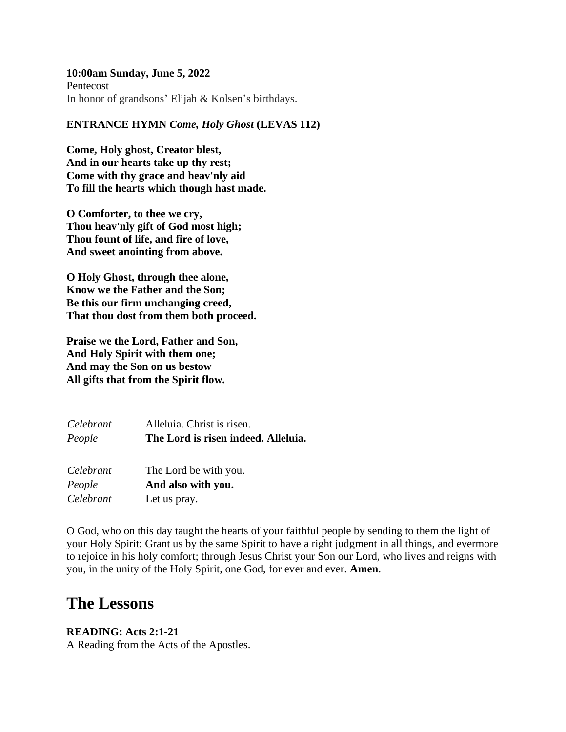**10:00am Sunday, June 5, 2022** Pentecost In honor of grandsons' Elijah & Kolsen's birthdays.

# **ENTRANCE HYMN** *Come, Holy Ghost* **(LEVAS 112)**

**Come, Holy ghost, Creator blest, And in our hearts take up thy rest; Come with thy grace and heav'nly aid To fill the hearts which though hast made.**

**O Comforter, to thee we cry, Thou heav'nly gift of God most high; Thou fount of life, and fire of love, And sweet anointing from above.**

**O Holy Ghost, through thee alone, Know we the Father and the Son; Be this our firm unchanging creed, That thou dost from them both proceed.**

**Praise we the Lord, Father and Son, And Holy Spirit with them one; And may the Son on us bestow All gifts that from the Spirit flow.**

| Celebrant | Alleluia. Christ is risen.          |
|-----------|-------------------------------------|
| People    | The Lord is risen indeed. Alleluia. |
| Celebrant | The Lord be with you.               |
| People    | And also with you.                  |
| Celebrant | Let us pray.                        |

O God, who on this day taught the hearts of your faithful people by sending to them the light of your Holy Spirit: Grant us by the same Spirit to have a right judgment in all things, and evermore to rejoice in his holy comfort; through Jesus Christ your Son our Lord, who lives and reigns with you, in the unity of the Holy Spirit, one God, for ever and ever. **Amen**.

# **The Lessons**

# **READING: Acts 2:1-21**

A Reading from the Acts of the Apostles.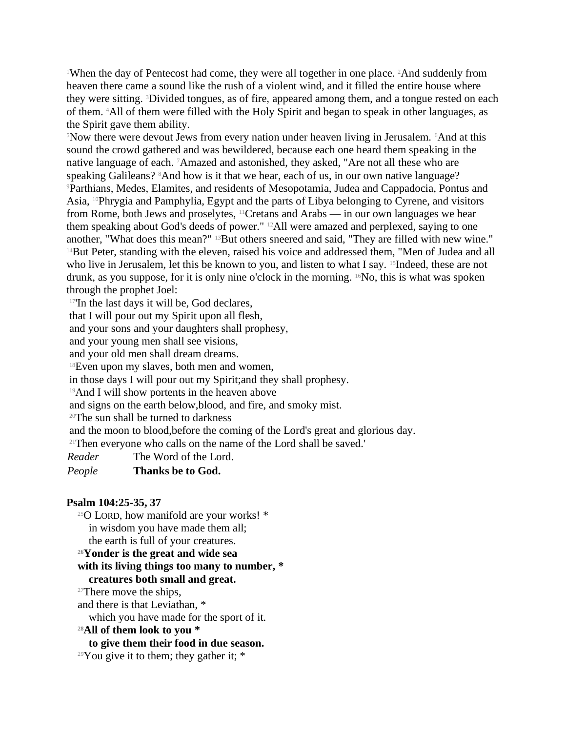<sup>1</sup>When the day of Pentecost had come, they were all together in one place. 2And suddenly from heaven there came a sound like the rush of a violent wind, and it filled the entire house where they were sitting. 3Divided tongues, as of fire, appeared among them, and a tongue rested on each of them. 4All of them were filled with the Holy Spirit and began to speak in other languages, as the Spirit gave them ability.

<sup>5</sup>Now there were devout Jews from every nation under heaven living in Jerusalem. <sup>6</sup>And at this sound the crowd gathered and was bewildered, because each one heard them speaking in the native language of each. 7Amazed and astonished, they asked, "Are not all these who are speaking Galileans? <sup>8</sup>And how is it that we hear, each of us, in our own native language? <sup>9</sup>Parthians, Medes, Elamites, and residents of Mesopotamia, Judea and Cappadocia, Pontus and Asia, 10Phrygia and Pamphylia, Egypt and the parts of Libya belonging to Cyrene, and visitors from Rome, both Jews and proselytes, 11Cretans and Arabs — in our own languages we hear them speaking about God's deeds of power." 12All were amazed and perplexed, saying to one another, "What does this mean?" <sup>13</sup>But others sneered and said, "They are filled with new wine." <sup>14</sup>But Peter, standing with the eleven, raised his voice and addressed them, "Men of Judea and all who live in Jerusalem, let this be known to you, and listen to what I say. <sup>15</sup>Indeed, these are not drunk, as you suppose, for it is only nine o'clock in the morning. 16No, this is what was spoken through the prophet Joel:

<sup>17'</sup>In the last days it will be, God declares,

that I will pour out my Spirit upon all flesh,

and your sons and your daughters shall prophesy,

and your young men shall see visions,

and your old men shall dream dreams.

<sup>18</sup>Even upon my slaves, both men and women,

in those days I will pour out my Spirit;and they shall prophesy.

<sup>19</sup>And I will show portents in the heaven above

and signs on the earth below,blood, and fire, and smoky mist.

<sup>20</sup>The sun shall be turned to darkness

and the moon to blood,before the coming of the Lord's great and glorious day.

<sup>21</sup>Then everyone who calls on the name of the Lord shall be saved.'

*Reader* The Word of the Lord.

*People* **Thanks be to God.**

#### **Psalm 104:25-35, 37**

<sup>25</sup>O LORD, how manifold are your works! \* in wisdom you have made them all; the earth is full of your creatures.

**<sup>26</sup>Yonder is the great and wide sea**

**with its living things too many to number, \***

#### **creatures both small and great.**

<sup>27</sup>There move the ships,

and there is that Leviathan, \*

which you have made for the sport of it.

**<sup>28</sup>All of them look to you \***

**to give them their food in due season.**

<sup>29</sup>You give it to them; they gather it;  $*$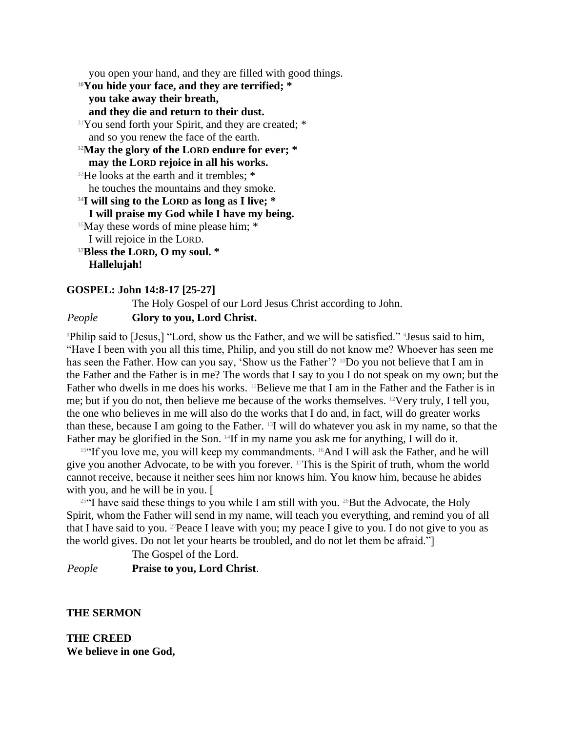you open your hand, and they are filled with good things.

**<sup>30</sup>You hide your face, and they are terrified; \***

**you take away their breath,**

**and they die and return to their dust.**

<sup>31</sup>You send forth your Spirit, and they are created; \* and so you renew the face of the earth.

**<sup>32</sup>May the glory of the LORD endure for ever; \***

**may the LORD rejoice in all his works.**

<sup>33</sup>He looks at the earth and it trembles: \*

he touches the mountains and they smoke.

**<sup>34</sup>I will sing to the LORD as long as I live; \* I will praise my God while I have my being.**

<sup>35</sup>May these words of mine please him; \* I will rejoice in the LORD.

**<sup>37</sup>Bless the LORD, O my soul. \* Hallelujah!**

## **GOSPEL: John 14:8-17 [25-27]**

The Holy Gospel of our Lord Jesus Christ according to John.

# *People* **Glory to you, Lord Christ.**

<sup>8</sup>Philip said to [Jesus,] "Lord, show us the Father, and we will be satisfied." <sup>9</sup>Jesus said to him, "Have I been with you all this time, Philip, and you still do not know me? Whoever has seen me has seen the Father. How can you say, 'Show us the Father'? <sup>10</sup>Do you not believe that I am in the Father and the Father is in me? The words that I say to you I do not speak on my own; but the Father who dwells in me does his works. <sup>11</sup>Believe me that I am in the Father and the Father is in me; but if you do not, then believe me because of the works themselves. 12Very truly, I tell you, the one who believes in me will also do the works that I do and, in fact, will do greater works than these, because I am going to the Father. 13I will do whatever you ask in my name, so that the Father may be glorified in the Son. <sup>14</sup>If in my name you ask me for anything, I will do it.

<sup>15"</sup>If you love me, you will keep my commandments. <sup>16</sup>And I will ask the Father, and he will give you another Advocate, to be with you forever. 17This is the Spirit of truth, whom the world cannot receive, because it neither sees him nor knows him. You know him, because he abides with you, and he will be in you. [

 $25$ <sup>41</sup> have said these things to you while I am still with you. <sup>26</sup>But the Advocate, the Holy Spirit, whom the Father will send in my name, will teach you everything, and remind you of all that I have said to you. <sup>27</sup>Peace I leave with you; my peace I give to you. I do not give to you as the world gives. Do not let your hearts be troubled, and do not let them be afraid."]

The Gospel of the Lord.

*People* **Praise to you, Lord Christ**.

**THE SERMON**

**THE CREED We believe in one God,**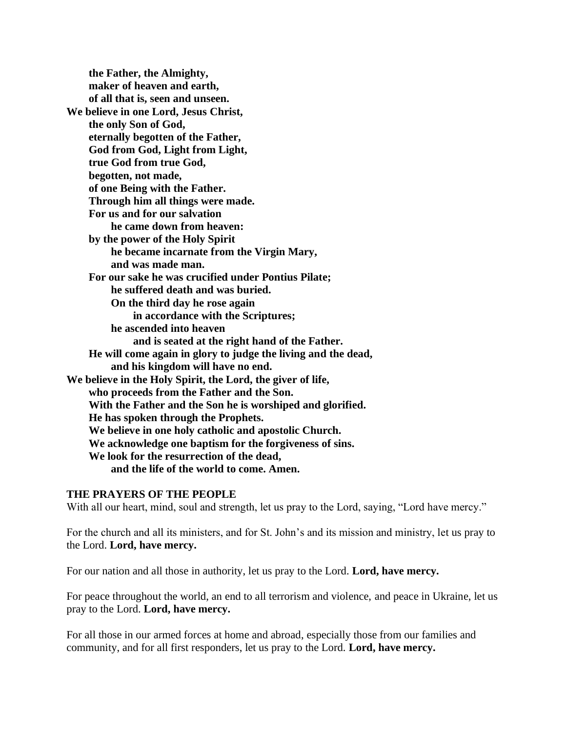**the Father, the Almighty, maker of heaven and earth, of all that is, seen and unseen. We believe in one Lord, Jesus Christ, the only Son of God, eternally begotten of the Father, God from God, Light from Light, true God from true God, begotten, not made, of one Being with the Father. Through him all things were made. For us and for our salvation he came down from heaven: by the power of the Holy Spirit he became incarnate from the Virgin Mary, and was made man. For our sake he was crucified under Pontius Pilate; he suffered death and was buried. On the third day he rose again in accordance with the Scriptures; he ascended into heaven and is seated at the right hand of the Father. He will come again in glory to judge the living and the dead, and his kingdom will have no end. We believe in the Holy Spirit, the Lord, the giver of life, who proceeds from the Father and the Son. With the Father and the Son he is worshiped and glorified. He has spoken through the Prophets. We believe in one holy catholic and apostolic Church. We acknowledge one baptism for the forgiveness of sins. We look for the resurrection of the dead, and the life of the world to come. Amen.**

#### **THE PRAYERS OF THE PEOPLE**

With all our heart, mind, soul and strength, let us pray to the Lord, saying, "Lord have mercy."

For the church and all its ministers, and for St. John's and its mission and ministry, let us pray to the Lord. **Lord, have mercy.**

For our nation and all those in authority, let us pray to the Lord. **Lord, have mercy.**

For peace throughout the world, an end to all terrorism and violence, and peace in Ukraine, let us pray to the Lord. **Lord, have mercy.**

For all those in our armed forces at home and abroad, especially those from our families and community, and for all first responders, let us pray to the Lord. **Lord, have mercy.**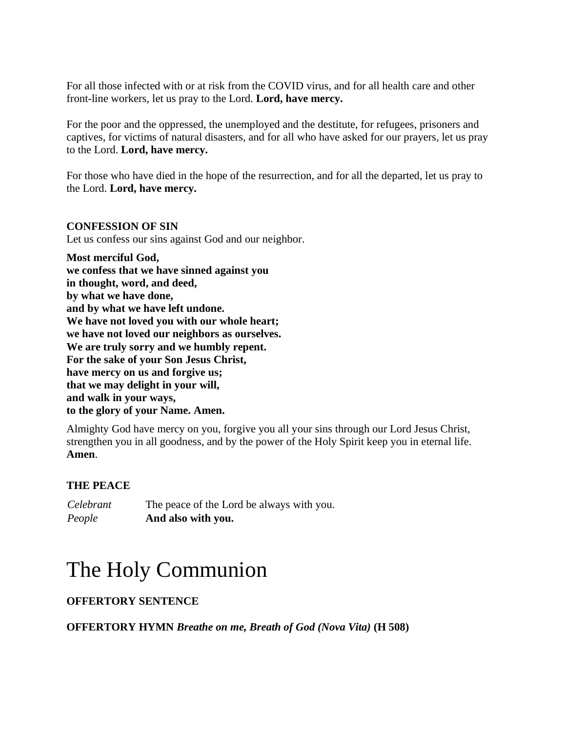For all those infected with or at risk from the COVID virus, and for all health care and other front-line workers, let us pray to the Lord. **Lord, have mercy.**

For the poor and the oppressed, the unemployed and the destitute, for refugees, prisoners and captives, for victims of natural disasters, and for all who have asked for our prayers, let us pray to the Lord. **Lord, have mercy.**

For those who have died in the hope of the resurrection, and for all the departed, let us pray to the Lord. **Lord, have mercy.**

## **CONFESSION OF SIN**

Let us confess our sins against God and our neighbor.

**Most merciful God, we confess that we have sinned against you in thought, word, and deed, by what we have done, and by what we have left undone. We have not loved you with our whole heart; we have not loved our neighbors as ourselves. We are truly sorry and we humbly repent. For the sake of your Son Jesus Christ, have mercy on us and forgive us; that we may delight in your will, and walk in your ways, to the glory of your Name. Amen.**

Almighty God have mercy on you, forgive you all your sins through our Lord Jesus Christ, strengthen you in all goodness, and by the power of the Holy Spirit keep you in eternal life. **Amen**.

# **THE PEACE**

*Celebrant* The peace of the Lord be always with you. *People* **And also with you.**

# The Holy Communion

# **OFFERTORY SENTENCE**

# **OFFERTORY HYMN** *Breathe on me, Breath of God (Nova Vita)* **(H 508)**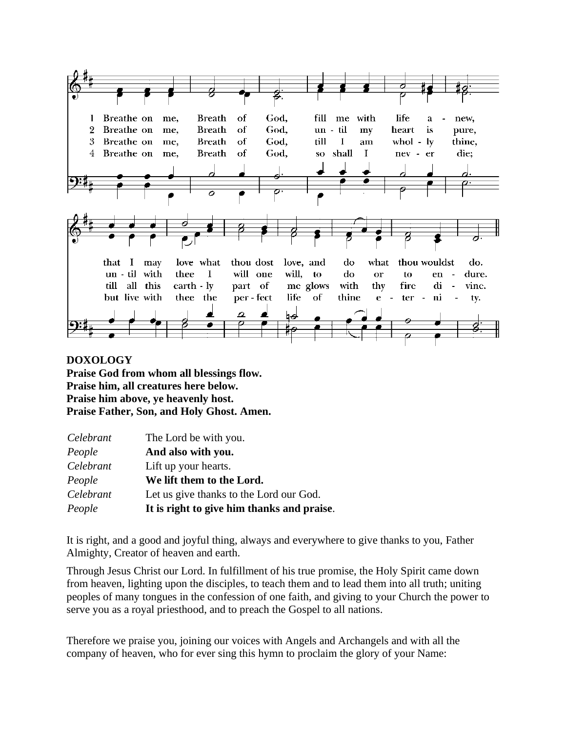

# **DOXOLOGY Praise God from whom all blessings flow. Praise him, all creatures here below. Praise him above, ye heavenly host. Praise Father, Son, and Holy Ghost. Amen.**

| Celebrant | The Lord be with you.                      |
|-----------|--------------------------------------------|
| People    | And also with you.                         |
| Celebrant | Lift up your hearts.                       |
| People    | We lift them to the Lord.                  |
| Celebrant | Let us give thanks to the Lord our God.    |
| People    | It is right to give him thanks and praise. |

It is right, and a good and joyful thing, always and everywhere to give thanks to you, Father Almighty, Creator of heaven and earth.

Through Jesus Christ our Lord. In fulfillment of his true promise, the Holy Spirit came down from heaven, lighting upon the disciples, to teach them and to lead them into all truth; uniting peoples of many tongues in the confession of one faith, and giving to your Church the power to serve you as a royal priesthood, and to preach the Gospel to all nations.

Therefore we praise you, joining our voices with Angels and Archangels and with all the company of heaven, who for ever sing this hymn to proclaim the glory of your Name: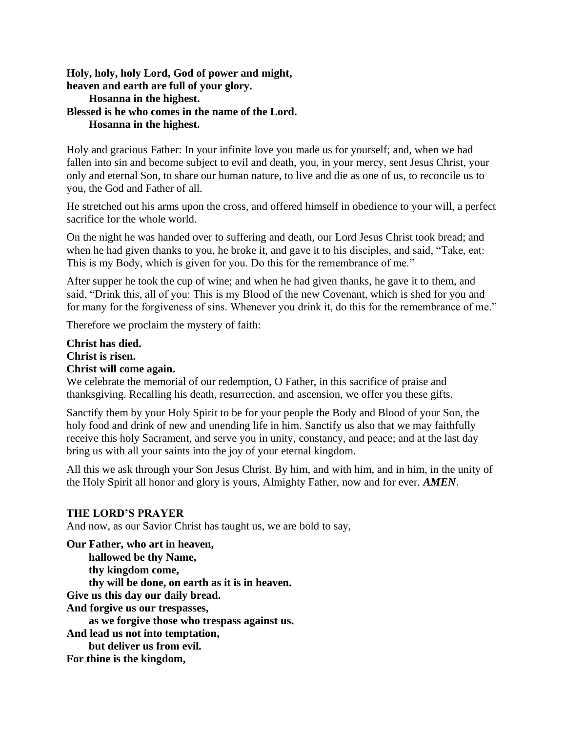#### **Holy, holy, holy Lord, God of power and might, heaven and earth are full of your glory. Hosanna in the highest. Blessed is he who comes in the name of the Lord. Hosanna in the highest.**

Holy and gracious Father: In your infinite love you made us for yourself; and, when we had fallen into sin and become subject to evil and death, you, in your mercy, sent Jesus Christ, your only and eternal Son, to share our human nature, to live and die as one of us, to reconcile us to you, the God and Father of all.

He stretched out his arms upon the cross, and offered himself in obedience to your will, a perfect sacrifice for the whole world.

On the night he was handed over to suffering and death, our Lord Jesus Christ took bread; and when he had given thanks to you, he broke it, and gave it to his disciples, and said, "Take, eat: This is my Body, which is given for you. Do this for the remembrance of me."

After supper he took the cup of wine; and when he had given thanks, he gave it to them, and said, "Drink this, all of you: This is my Blood of the new Covenant, which is shed for you and for many for the forgiveness of sins. Whenever you drink it, do this for the remembrance of me."

Therefore we proclaim the mystery of faith:

#### **Christ has died. Christ is risen. Christ will come again.**

We celebrate the memorial of our redemption, O Father, in this sacrifice of praise and thanksgiving. Recalling his death, resurrection, and ascension, we offer you these gifts.

Sanctify them by your Holy Spirit to be for your people the Body and Blood of your Son, the holy food and drink of new and unending life in him. Sanctify us also that we may faithfully receive this holy Sacrament, and serve you in unity, constancy, and peace; and at the last day bring us with all your saints into the joy of your eternal kingdom.

All this we ask through your Son Jesus Christ. By him, and with him, and in him, in the unity of the Holy Spirit all honor and glory is yours, Almighty Father, now and for ever. *AMEN*.

#### **THE LORD'S PRAYER**

And now, as our Savior Christ has taught us, we are bold to say,

**Our Father, who art in heaven, hallowed be thy Name, thy kingdom come, thy will be done, on earth as it is in heaven. Give us this day our daily bread. And forgive us our trespasses, as we forgive those who trespass against us. And lead us not into temptation, but deliver us from evil. For thine is the kingdom,**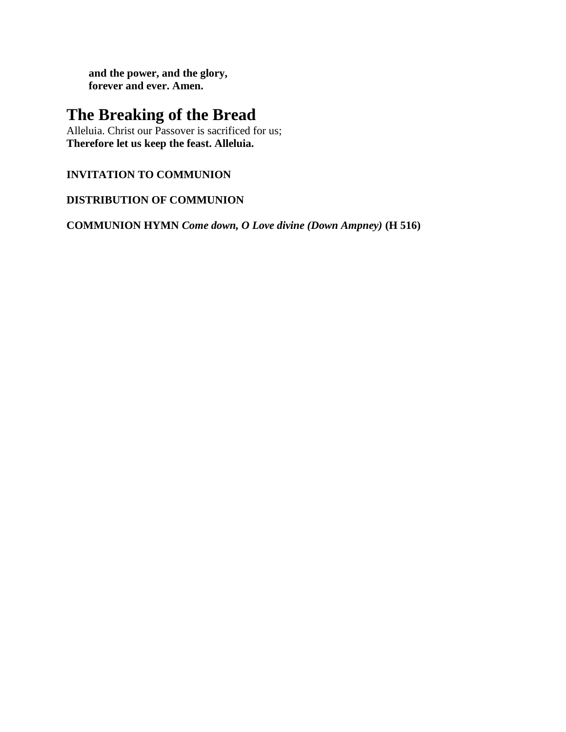**and the power, and the glory, forever and ever. Amen.**

# **The Breaking of the Bread**

Alleluia. Christ our Passover is sacrificed for us; **Therefore let us keep the feast. Alleluia.**

**INVITATION TO COMMUNION**

# **DISTRIBUTION OF COMMUNION**

**COMMUNION HYMN** *Come down, O Love divine (Down Ampney)* **(H 516)**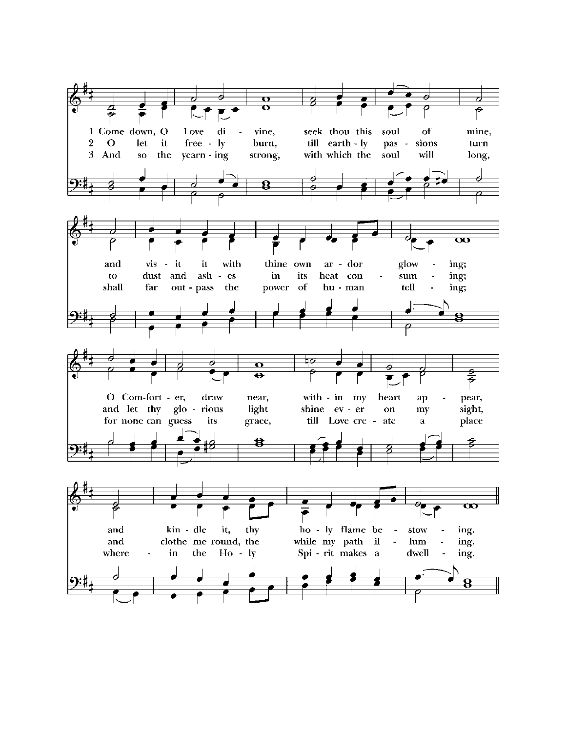